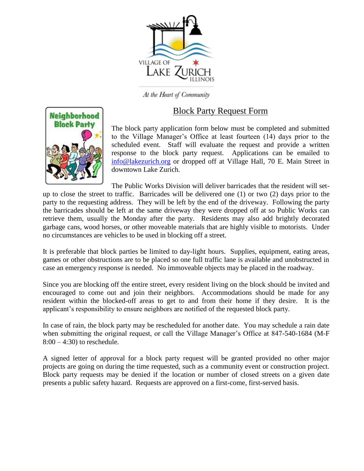

At the Heart of Community

# Block Party Request Form



The block party application form below must be completed and submitted to the Village Manager's Office at least fourteen (14) days prior to the scheduled event. Staff will evaluate the request and provide a written response to the block party request. Applications can be emailed to [info@lakezurich.org](mailto:info@lakezurich.org) or dropped off at Village Hall, 70 E. Main Street in downtown Lake Zurich.

The Public Works Division will deliver barricades that the resident will setup to close the street to traffic. Barricades will be delivered one (1) or two (2) days prior to the party to the requesting address. They will be left by the end of the driveway. Following the party the barricades should be left at the same driveway they were dropped off at so Public Works can retrieve them, usually the Monday after the party. Residents may also add brightly decorated garbage cans, wood horses, or other moveable materials that are highly visible to motorists. Under no circumstances are vehicles to be used in blocking off a street.

It is preferable that block parties be limited to day-light hours. Supplies, equipment, eating areas, games or other obstructions are to be placed so one full traffic lane is available and unobstructed in case an emergency response is needed. No immoveable objects may be placed in the roadway.

Since you are blocking off the entire street, every resident living on the block should be invited and encouraged to come out and join their neighbors. Accommodations should be made for any resident within the blocked-off areas to get to and from their home if they desire. It is the applicant's responsibility to ensure neighbors are notified of the requested block party.

In case of rain, the block party may be rescheduled for another date. You may schedule a rain date when submitting the original request, or call the Village Manager's Office at 847-540-1684 (M-F  $8:00 - 4:30$  to reschedule.

A signed letter of approval for a block party request will be granted provided no other major projects are going on during the time requested, such as a community event or construction project. Block party requests may be denied if the location or number of closed streets on a given date presents a public safety hazard. Requests are approved on a first-come, first-served basis.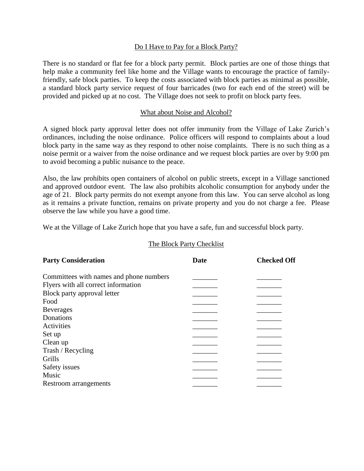#### Do I Have to Pay for a Block Party?

There is no standard or flat fee for a block party permit. Block parties are one of those things that help make a community feel like home and the Village wants to encourage the practice of familyfriendly, safe block parties. To keep the costs associated with block parties as minimal as possible, a standard block party service request of four barricades (two for each end of the street) will be provided and picked up at no cost. The Village does not seek to profit on block party fees.

#### What about Noise and Alcohol?

A signed block party approval letter does not offer immunity from the Village of Lake Zurich's ordinances, including the noise ordinance. Police officers will respond to complaints about a loud block party in the same way as they respond to other noise complaints. There is no such thing as a noise permit or a waiver from the noise ordinance and we request block parties are over by 9:00 pm to avoid becoming a public nuisance to the peace.

Also, the law prohibits open containers of alcohol on public streets, except in a Village sanctioned and approved outdoor event. The law also prohibits alcoholic consumption for anybody under the age of 21. Block party permits do not exempt anyone from this law. You can serve alcohol as long as it remains a private function, remains on private property and you do not charge a fee. Please observe the law while you have a good time.

We at the Village of Lake Zurich hope that you have a safe, fun and successful block party.

#### The Block Party Checklist

| <b>Party Consideration</b>              | Date | <b>Checked Off</b> |  |
|-----------------------------------------|------|--------------------|--|
| Committees with names and phone numbers |      |                    |  |
| Flyers with all correct information     |      |                    |  |
| Block party approval letter             |      |                    |  |
| Food                                    |      |                    |  |
| <b>Beverages</b>                        |      |                    |  |
| Donations                               |      |                    |  |
| Activities                              |      |                    |  |
| Set up                                  |      |                    |  |
| Clean up                                |      |                    |  |
| Trash / Recycling                       |      |                    |  |
| Grills                                  |      |                    |  |
| Safety issues                           |      |                    |  |
| Music                                   |      |                    |  |
| Restroom arrangements                   |      |                    |  |
|                                         |      |                    |  |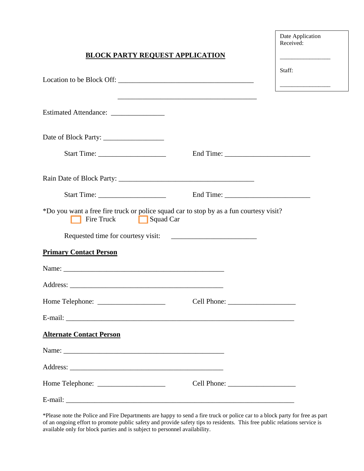|                                                                                                                          | Date Application<br>Received: |
|--------------------------------------------------------------------------------------------------------------------------|-------------------------------|
| <b>BLOCK PARTY REQUEST APPLICATION</b>                                                                                   |                               |
|                                                                                                                          | Staff:                        |
| <u> 1989 - Johann Barn, mars ann an t-Amhain ann an t-Amhain an t-Amhain an t-Amhain an t-Amhain an t-Amhain an t-</u>   |                               |
|                                                                                                                          |                               |
|                                                                                                                          |                               |
|                                                                                                                          |                               |
|                                                                                                                          |                               |
|                                                                                                                          |                               |
| *Do you want a free fire truck or police squad car to stop by as a fun courtesy visit?<br>Fire Truck<br>$\Box$ Squad Car |                               |
|                                                                                                                          |                               |
| <b>Primary Contact Person</b>                                                                                            |                               |
|                                                                                                                          |                               |
|                                                                                                                          |                               |
|                                                                                                                          |                               |
|                                                                                                                          |                               |
| <b>Alternate Contact Person</b>                                                                                          |                               |
|                                                                                                                          |                               |
|                                                                                                                          |                               |
|                                                                                                                          |                               |
|                                                                                                                          |                               |

\*Please note the Police and Fire Departments are happy to send a fire truck or police car to a block party for free as part of an ongoing effort to promote public safety and provide safety tips to residents. This free public relations service is available only for block parties and is subject to personnel availability.